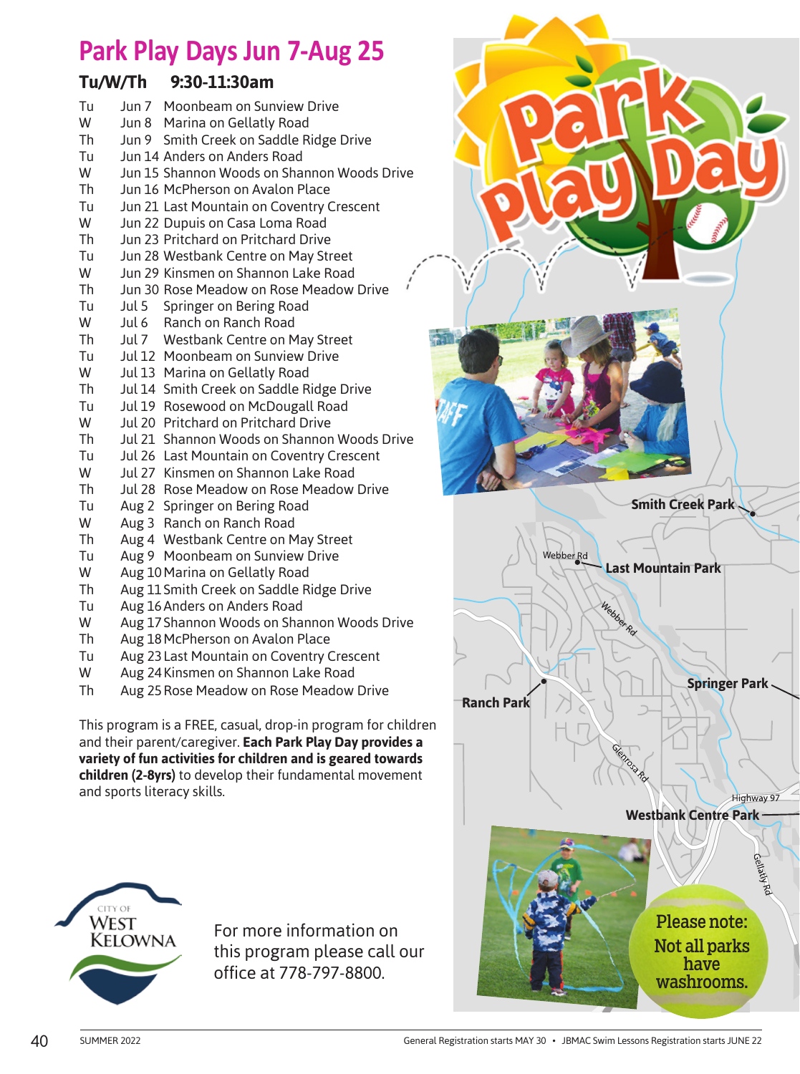## **Park Play Days Jun 7-Aug 25**

## **Tu/W/Th 9:30-11:30am**

| Tu | Jun 7 Moonbeam on Sunview Drive                              |
|----|--------------------------------------------------------------|
| W  | Jun 8 Marina on Gellatly Road                                |
| Th | Jun 9 Smith Creek on Saddle Ridge Drive                      |
| Tu | Jun 14 Anders on Anders Road                                 |
| W  | Jun 15 Shannon Woods on Shannon Woods Drive                  |
| Th | Jun 16 McPherson on Avalon Place                             |
| Tu | Jun 21 Last Mountain on Coventry Crescent                    |
| W  | Jun 22 Dupuis on Casa Loma Road                              |
| Th | Jun 23 Pritchard on Pritchard Drive                          |
| Tu | Jun 28 Westbank Centre on May Street                         |
| W  | $\mathbf{r}^{\prime}$<br>Jun 29 Kinsmen on Shannon Lake Road |
| Th | Jun 30 Rose Meadow on Rose Meadow Drive                      |
| Tu | Jul 5 Springer on Bering Road                                |
| W  | Jul 6 Ranch on Ranch Road                                    |
| Th | Jul 7 Westbank Centre on May Street                          |
| Tu | Jul 12 Moonbeam on Sunview Drive                             |
| W  | Jul 13 Marina on Gellatly Road                               |
| Th | Jul 14 Smith Creek on Saddle Ridge Drive                     |
| Tu | Jul 19 Rosewood on McDougall Road                            |
| W  | Jul 20 Pritchard on Pritchard Drive                          |
| Th | Jul 21 Shannon Woods on Shannon Woods Drive                  |
| Tu | Jul 26 Last Mountain on Coventry Crescent                    |
| W  | Jul 27 Kinsmen on Shannon Lake Road                          |
| Th | Jul 28 Rose Meadow on Rose Meadow Drive                      |
| Tu | Aug 2 Springer on Bering Road                                |
| W  | Aug 3 Ranch on Ranch Road                                    |
| Th | Aug 4 Westbank Centre on May Street                          |
| Tu | Aug 9 Moonbeam on Sunview Drive                              |
| W  | Aug 10 Marina on Gellatly Road                               |
| Th | Aug 11 Smith Creek on Saddle Ridge Drive                     |
| Tu | Aug 16 Anders on Anders Road                                 |
| W  | Aug 17 Shannon Woods on Shannon Woods Drive                  |
| Th | Aug 18 McPherson on Avalon Place                             |
| Tu | Aug 23 Last Mountain on Coventry Crescent                    |
| W  | Aug 24 Kinsmen on Shannon Lake Road                          |
| Th | Aug 25 Rose Meadow on Rose Meadow Drive                      |

This program is a FREE, casual, drop-in program for children and their parent/caregiver. **Each Park Play Day provides a variety of fun activities for children and is geared towards children (2-8yrs)** to develop their fundamental movement and sports literacy skills.



For more information on this program please call our office at 778-797-8800.